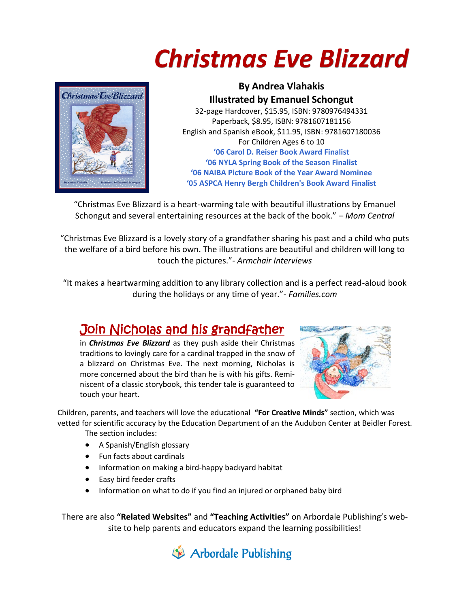



**By Andrea Vlahakis Illustrated by Emanuel Schongut** 32-page Hardcover, \$15.95, ISBN: 9780976494331 Paperback, \$8.95, ISBN: 9781607181156 English and Spanish eBook, \$11.95, ISBN: 9781607180036 For Children Ages 6 to 10 **'06 Carol D. Reiser Book Award Finalist '06 NYLA Spring Book of the Season Finalist '06 NAIBA Picture Book of the Year Award Nominee '05 ASPCA Henry Bergh Children's Book Award Finalist**

"Christmas Eve Blizzard is a heart-warming tale with beautiful illustrations by Emanuel Schongut and several entertaining resources at the back of the book." – *Mom Central*

"Christmas Eve Blizzard is a lovely story of a grandfather sharing his past and a child who puts the welfare of a bird before his own. The illustrations are beautiful and children will long to touch the pictures."- *Armchair Interviews*

"It makes a heartwarming addition to any library collection and is a perfect read-aloud book during the holidays or any time of year."- *Families.com*

## Join Nicholas and his grandfather

in *Christmas Eve Blizzard* as they push aside their Christmas traditions to lovingly care for a cardinal trapped in the snow of a blizzard on Christmas Eve. The next morning, Nicholas is more concerned about the bird than he is with his gifts. Reminiscent of a classic storybook, this tender tale is guaranteed to touch your heart.



Children, parents, and teachers will love the educational **"For Creative Minds"** section, which was vetted for scientific accuracy by the Education Department of an the Audubon Center at Beidler Forest.

The section includes:

- A Spanish/English glossary
- Fun facts about cardinals
- Information on making a bird-happy backyard habitat
- Easy bird feeder crafts
- Information on what to do if you find an injured or orphaned baby bird

There are also **"Related Websites"** and **"Teaching Activities"** on Arbordale Publishing's website to help parents and educators expand the learning possibilities!